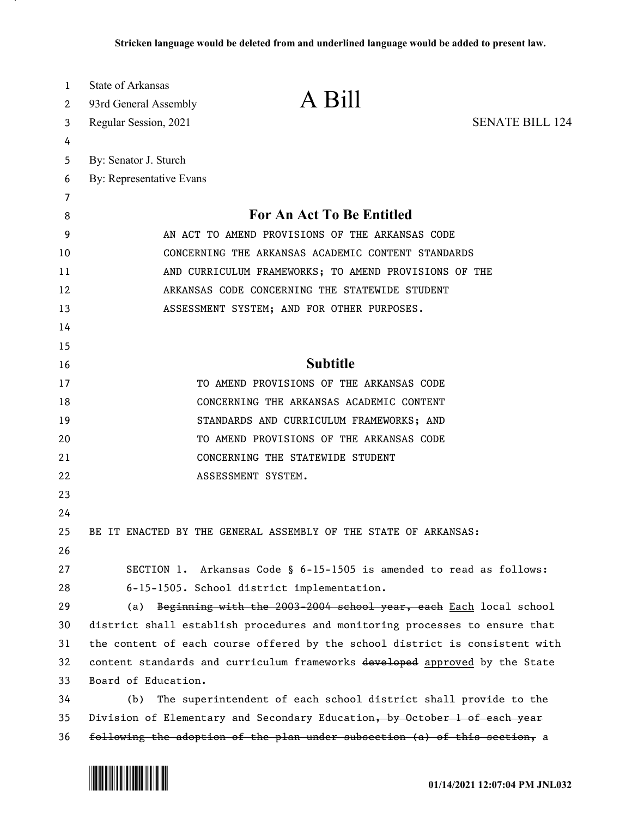| 1      | State of Arkansas<br>A Bill                                                  |  |
|--------|------------------------------------------------------------------------------|--|
| 2      | 93rd General Assembly<br>Regular Session, 2021<br><b>SENATE BILL 124</b>     |  |
| 3<br>4 |                                                                              |  |
| 5      | By: Senator J. Sturch                                                        |  |
| 6      | By: Representative Evans                                                     |  |
| 7      |                                                                              |  |
| 8      | <b>For An Act To Be Entitled</b>                                             |  |
| 9      | AN ACT TO AMEND PROVISIONS OF THE ARKANSAS CODE                              |  |
| 10     | CONCERNING THE ARKANSAS ACADEMIC CONTENT STANDARDS                           |  |
| 11     | AND CURRICULUM FRAMEWORKS; TO AMEND PROVISIONS OF THE                        |  |
| 12     | ARKANSAS CODE CONCERNING THE STATEWIDE STUDENT                               |  |
| 13     | ASSESSMENT SYSTEM; AND FOR OTHER PURPOSES.                                   |  |
| 14     |                                                                              |  |
| 15     |                                                                              |  |
| 16     | <b>Subtitle</b>                                                              |  |
| 17     | TO AMEND PROVISIONS OF THE ARKANSAS CODE                                     |  |
| 18     | CONCERNING THE ARKANSAS ACADEMIC CONTENT                                     |  |
| 19     | STANDARDS AND CURRICULUM FRAMEWORKS; AND                                     |  |
| 20     | TO AMEND PROVISIONS OF THE ARKANSAS CODE                                     |  |
| 21     | CONCERNING THE STATEWIDE STUDENT                                             |  |
| 22     | ASSESSMENT SYSTEM.                                                           |  |
| 23     |                                                                              |  |
| 24     |                                                                              |  |
| 25     | BE IT ENACTED BY THE GENERAL ASSEMBLY OF THE STATE OF ARKANSAS:              |  |
| 26     |                                                                              |  |
| 27     | SECTION 1. Arkansas Code § 6-15-1505 is amended to read as follows:          |  |
| 28     | 6-15-1505. School district implementation.                                   |  |
| 29     | Beginning with the 2003-2004 school year, each Each local school<br>(a)      |  |
| 30     | district shall establish procedures and monitoring processes to ensure that  |  |
| 31     | the content of each course offered by the school district is consistent with |  |
| 32     | content standards and curriculum frameworks developed approved by the State  |  |
| 33     | Board of Education.                                                          |  |
| 34     | The superintendent of each school district shall provide to the<br>(b)       |  |
| 35     | Division of Elementary and Secondary Education, by October 1 of each year    |  |
| 36     | following the adoption of the plan under subsection (a) of this section, a   |  |